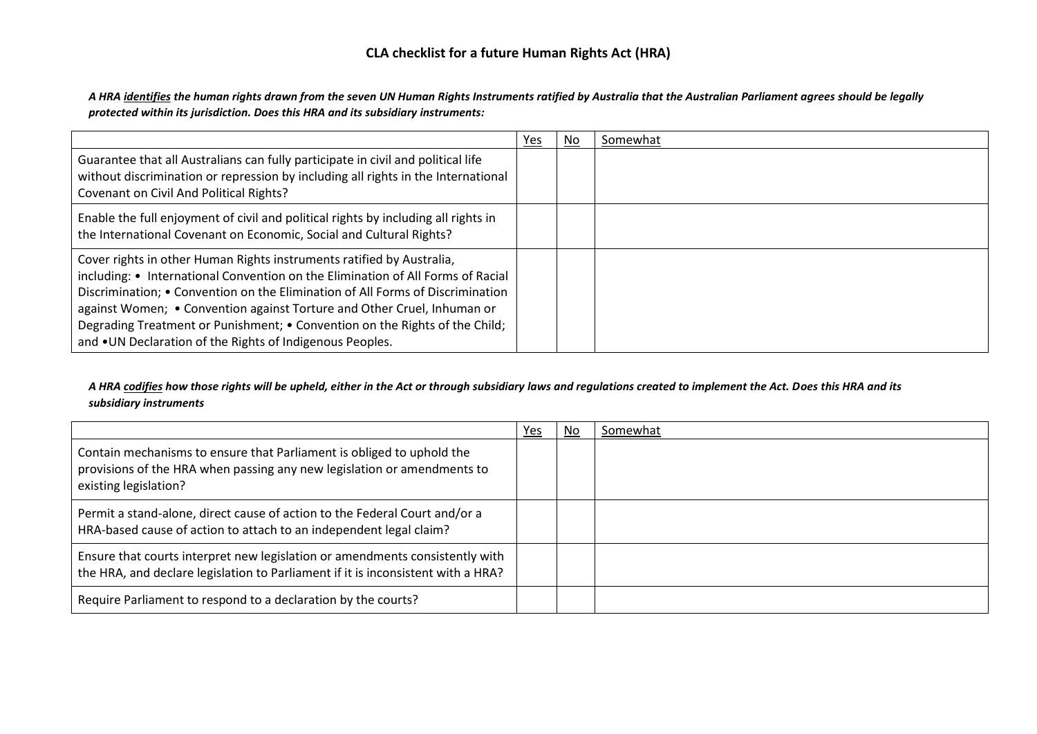# **CLA checklist for a future Human Rights Act (HRA)**

*A HRA identifies the human rights drawn from the seven UN Human Rights Instruments ratified by Australia that the Australian Parliament agrees should be legally protected within its jurisdiction. Does this HRA and its subsidiary instruments:*

|                                                                                                                                                                                                                                                                                                                                                                                                                                                                   | Yes | No | Somewhat |
|-------------------------------------------------------------------------------------------------------------------------------------------------------------------------------------------------------------------------------------------------------------------------------------------------------------------------------------------------------------------------------------------------------------------------------------------------------------------|-----|----|----------|
| Guarantee that all Australians can fully participate in civil and political life<br>without discrimination or repression by including all rights in the International<br>Covenant on Civil And Political Rights?                                                                                                                                                                                                                                                  |     |    |          |
| Enable the full enjoyment of civil and political rights by including all rights in<br>the International Covenant on Economic, Social and Cultural Rights?                                                                                                                                                                                                                                                                                                         |     |    |          |
| Cover rights in other Human Rights instruments ratified by Australia,<br>including: • International Convention on the Elimination of All Forms of Racial<br>Discrimination; • Convention on the Elimination of All Forms of Discrimination<br>against Women; • Convention against Torture and Other Cruel, Inhuman or<br>Degrading Treatment or Punishment; • Convention on the Rights of the Child;<br>and . UN Declaration of the Rights of Indigenous Peoples. |     |    |          |

### *A HRA codifies how those rights will be upheld, either in the Act or through subsidiary laws and regulations created to implement the Act. Does this HRA and its subsidiary instruments*

|                                                                                                                                                                           | Yes | No | Somewhat |
|---------------------------------------------------------------------------------------------------------------------------------------------------------------------------|-----|----|----------|
| Contain mechanisms to ensure that Parliament is obliged to uphold the<br>provisions of the HRA when passing any new legislation or amendments to<br>existing legislation? |     |    |          |
| Permit a stand-alone, direct cause of action to the Federal Court and/or a<br>HRA-based cause of action to attach to an independent legal claim?                          |     |    |          |
| Ensure that courts interpret new legislation or amendments consistently with<br>the HRA, and declare legislation to Parliament if it is inconsistent with a HRA?          |     |    |          |
| Require Parliament to respond to a declaration by the courts?                                                                                                             |     |    |          |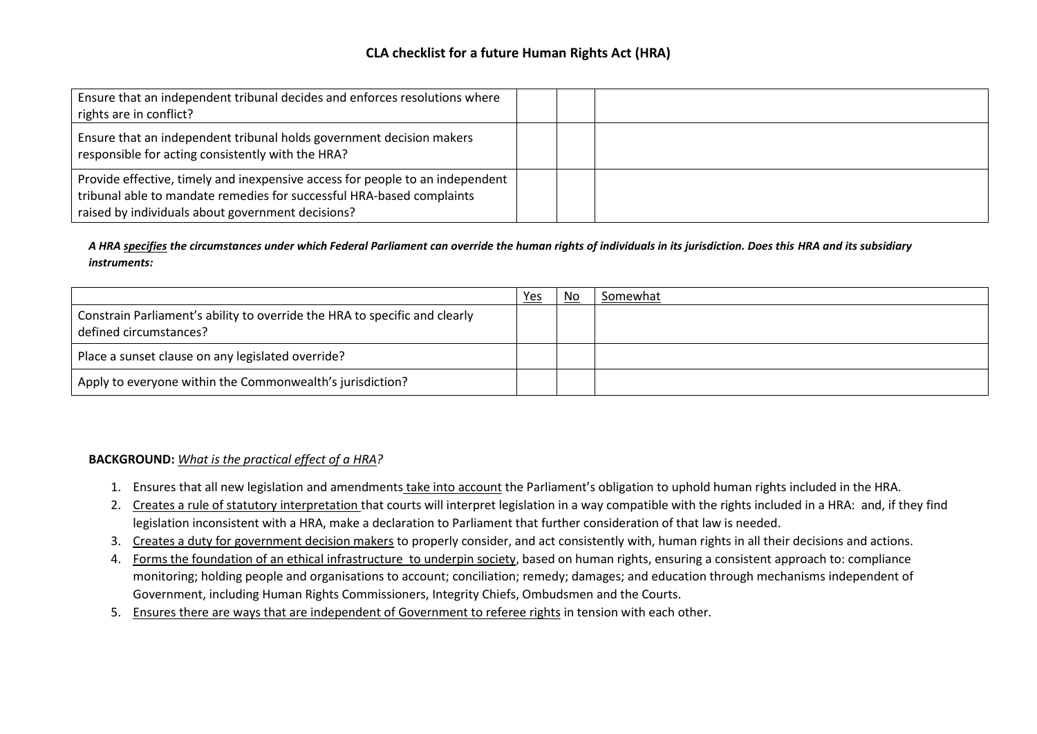## **CLA checklist for a future Human Rights Act (HRA)**

| Ensure that an independent tribunal decides and enforces resolutions where<br>rights are in conflict?                                                                                                       |  |  |
|-------------------------------------------------------------------------------------------------------------------------------------------------------------------------------------------------------------|--|--|
| Ensure that an independent tribunal holds government decision makers<br>responsible for acting consistently with the HRA?                                                                                   |  |  |
| Provide effective, timely and inexpensive access for people to an independent<br>tribunal able to mandate remedies for successful HRA-based complaints<br>raised by individuals about government decisions? |  |  |

*A HRA specifies the circumstances under which Federal Parliament can override the human rights of individuals in its jurisdiction. Does this HRA and its subsidiary instruments:*

|                                                                                                      | Yes | No | Somewhat |
|------------------------------------------------------------------------------------------------------|-----|----|----------|
| Constrain Parliament's ability to override the HRA to specific and clearly<br>defined circumstances? |     |    |          |
| Place a sunset clause on any legislated override?                                                    |     |    |          |
| Apply to everyone within the Commonwealth's jurisdiction?                                            |     |    |          |

#### **BACKGROUND:** *What is the practical effect of a HRA?*

- 1. Ensures that all new legislation and amendments take into account the Parliament's obligation to uphold human rights included in the HRA.
- 2. Creates a rule of statutory interpretation that courts will interpret legislation in a way compatible with the rights included in a HRA: and, if they find legislation inconsistent with a HRA, make a declaration to Parliament that further consideration of that law is needed.
- 3. Creates a duty for government decision makers to properly consider, and act consistently with, human rights in all their decisions and actions.
- 4. Forms the foundation of an ethical infrastructure to underpin society, based on human rights, ensuring a consistent approach to: compliance monitoring; holding people and organisations to account; conciliation; remedy; damages; and education through mechanisms independent of Government, including Human Rights Commissioners, Integrity Chiefs, Ombudsmen and the Courts.
- 5. Ensures there are ways that are independent of Government to referee rights in tension with each other.